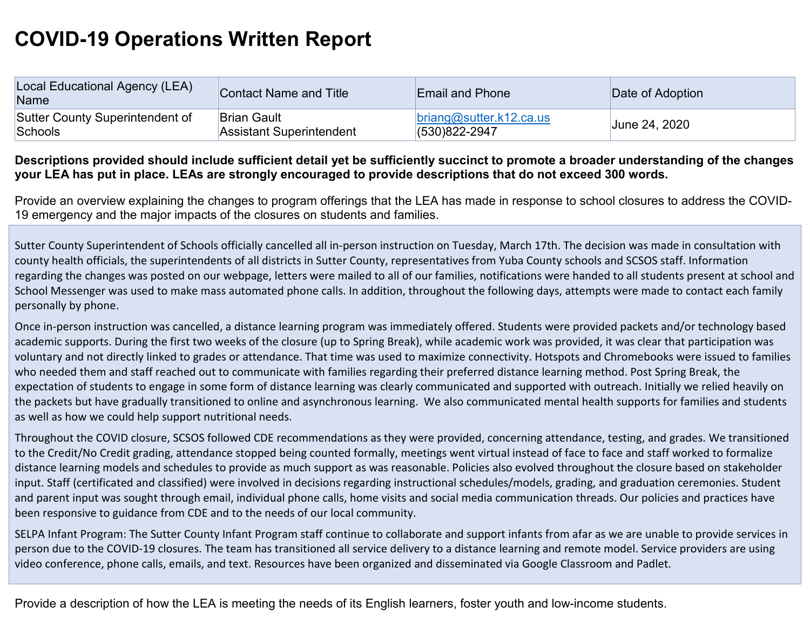## **COVID-19 Operations Written Report**

| Local Educational Agency (LEA)<br>Name | Contact Name and Title   | <b>Email and Phone</b>  | Date of Adoption |
|----------------------------------------|--------------------------|-------------------------|------------------|
| Sutter County Superintendent of        | ∣Brian Gault             | brainq@sutter.k12.ca.us | June 24, 2020    |
| Schools                                | Assistant Superintendent | $(530)822 - 2947$       |                  |

## **Descriptions provided should include sufficient detail yet be sufficiently succinct to promote a broader understanding of the changes your LEA has put in place. LEAs are strongly encouraged to provide descriptions that do not exceed 300 words.**

Provide an overview explaining the changes to program offerings that the LEA has made in response to school closures to address the COVID-19 emergency and the major impacts of the closures on students and families.

Sutter County Superintendent of Schools officially cancelled all in-person instruction on Tuesday, March 17th. The decision was made in consultation with county health officials, the superintendents of all districts in Sutter County, representatives from Yuba County schools and SCSOS staff. Information regarding the changes was posted on our webpage, letters were mailed to all of our families, notifications were handed to all students present at school and School Messenger was used to make mass automated phone calls. In addition, throughout the following days, attempts were made to contact each family personally by phone.

Once in-person instruction was cancelled, a distance learning program was immediately offered. Students were provided packets and/or technology based academic supports. During the first two weeks of the closure (up to Spring Break), while academic work was provided, it was clear that participation was voluntary and not directly linked to grades or attendance. That time was used to maximize connectivity. Hotspots and Chromebooks were issued to families who needed them and staff reached out to communicate with families regarding their preferred distance learning method. Post Spring Break, the expectation of students to engage in some form of distance learning was clearly communicated and supported with outreach. Initially we relied heavily on the packets but have gradually transitioned to online and asynchronous learning. We also communicated mental health supports for families and students as well as how we could help support nutritional needs.

Throughout the COVID closure, SCSOS followed CDE recommendations as they were provided, concerning attendance, testing, and grades. We transitioned to the Credit/No Credit grading, attendance stopped being counted formally, meetings went virtual instead of face to face and staff worked to formalize distance learning models and schedules to provide as much support as was reasonable. Policies also evolved throughout the closure based on stakeholder input. Staff (certificated and classified) were involved in decisions regarding instructional schedules/models, grading, and graduation ceremonies. Student and parent input was sought through email, individual phone calls, home visits and social media communication threads. Our policies and practices have been responsive to guidance from CDE and to the needs of our local community.

SELPA Infant Program: The Sutter County Infant Program staff continue to collaborate and support infants from afar as we are unable to provide services in person due to the COVID-19 closures. The team has transitioned all service delivery to a distance learning and remote model. Service providers are using video conference, phone calls, emails, and text. Resources have been organized and disseminated via Google Classroom and Padlet.

Provide a description of how the LEA is meeting the needs of its English learners, foster youth and low-income students.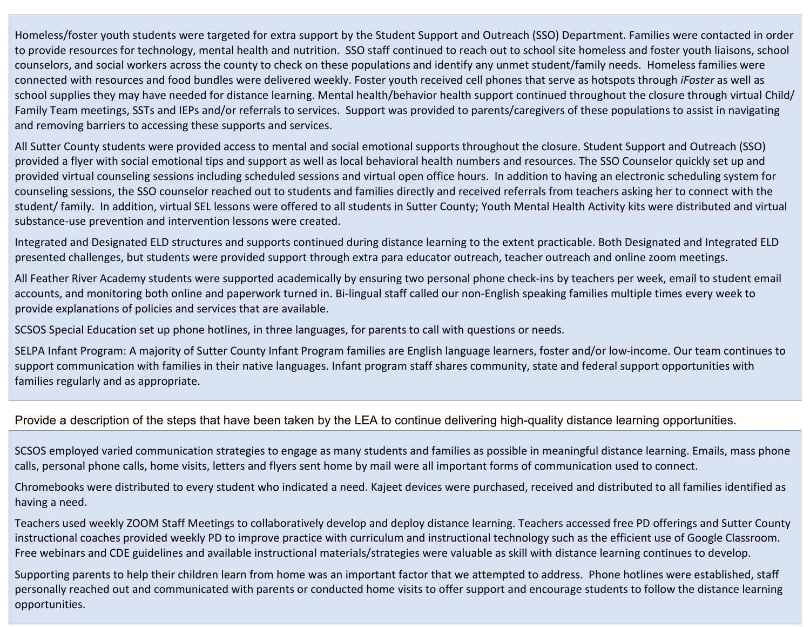Homeless/foster youth students were targeted for extra support by the Student Support and Outreach (SSO) Department. Families were contacted in order to provide resources for technology, mental health and nutrition. SSO staff continued to reach out to school site homeless and foster youth liaisons, school counselors, and social workers across the county to check on these populations and identify any unmet student/family needs. Homeless families were connected with resources and food bundles were delivered weekly. Foster youth received cell phones that serve as hotspots through *iFoster* as well as school supplies they may have needed for distance learning. Mental health/behavior health support continued throughout the closure through virtual Child/ Family Team meetings, SSTs and IEPs and/or referrals to services. Support was provided to parents/caregivers of these populations to assist in navigating and removing barriers to accessing these supports and services.

All Sutter County students were provided access to mental and social emotional supports throughout the closure. Student Support and Outreach (SSO) provided a flyer with social emotional tips and support as well as local behavioral health numbers and resources. The SSO Counselor quickly set up and provided virtual counseling sessions including scheduled sessions and virtual open office hours. In addition to having an electronic scheduling system for counseling sessions, the SSO counselor reached out to students and families directly and received referrals from teachers asking her to connect with the student/ family. In addition, virtual SEL lessons were offered to all students in Sutter County; Youth Mental Health Activity kits were distributed and virtual substance-use prevention and intervention lessons were created.

Integrated and Designated ELD structures and supports continued during distance learning to the extent practicable. Both Designated and Integrated ELD presented challenges, but students were provided support through extra para educator outreach, teacher outreach and online zoom meetings.

All Feather River Academy students were supported academically by ensuring two personal phone check-ins by teachers per week, email to student email accounts, and monitoring both online and paperwork turned in. Bi-lingual staff called our non-English speaking families multiple times every week to provide explanations of policies and services that are available.

SCSOS Special Education set up phone hotlines, in three languages, for parents to call with questions or needs.

SELPA Infant Program: A majority of Sutter County Infant Program families are English language learners, foster and/or low-income. Our team continues to support communication with families in their native languages. Infant program staff shares community, state and federal support opportunities with families regularly and as appropriate.

## Provide a description of the steps that have been taken by the LEA to continue delivering high-quality distance learning opportunities.

SCSOS employed varied communication strategies to engage as many students and families as possible in meaningful distance learning. Emails, mass phone calls, personal phone calls, home visits, letters and flyers sent home by mail were all important forms of communication used to connect.

Chromebooks were distributed to every student who indicated a need. Kajeet devices were purchased, received and distributed to all families identified as having a need.

Teachers used weekly ZOOM Staff Meetings to collaboratively develop and deploy distance learning. Teachers accessed free PD offerings and Sutter County instructional coaches provided weekly PD to improve practice with curriculum and instructional technology such as the efficient use of Google Classroom. Free webinars and CDE guidelines and available instructional materials/strategies were valuable as skill with distance learning continues to develop.

Supporting parents to help their children learn from home was an important factor that we attempted to address. Phone hotlines were established, staff personally reached out and communicated with parents or conducted home visits to offer support and encourage students to follow the distance learning opportunities.